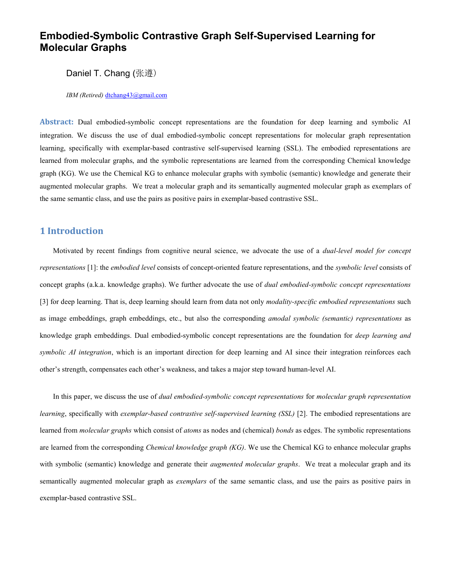# Embodied-Symbolic Contrastive Graph Self-Supervised Learning for Molecular Graphs

Daniel T. Chang (张遵)

IBM (Retired) dtchang43@gmail.com

Abstract: Dual embodied-symbolic concept representations are the foundation for deep learning and symbolic AI integration. We discuss the use of dual embodied-symbolic concept representations for molecular graph representation learning, specifically with exemplar-based contrastive self-supervised learning (SSL). The embodied representations are learned from molecular graphs, and the symbolic representations are learned from the corresponding Chemical knowledge graph (KG). We use the Chemical KG to enhance molecular graphs with symbolic (semantic) knowledge and generate their augmented molecular graphs. We treat a molecular graph and its semantically augmented molecular graph as exemplars of the same semantic class, and use the pairs as positive pairs in exemplar-based contrastive SSL.

# 1 Introduction

Motivated by recent findings from cognitive neural science, we advocate the use of a *dual-level model for concept* representations [1]: the embodied level consists of concept-oriented feature representations, and the symbolic level consists of concept graphs (a.k.a. knowledge graphs). We further advocate the use of *dual embodied-symbolic concept representations* [3] for deep learning. That is, deep learning should learn from data not only *modality-specific embodied representations* such as image embeddings, graph embeddings, etc., but also the corresponding *amodal symbolic (semantic) representations* as knowledge graph embeddings. Dual embodied-symbolic concept representations are the foundation for *deep learning and* symbolic AI integration, which is an important direction for deep learning and AI since their integration reinforces each other's strength, compensates each other's weakness, and takes a major step toward human-level AI.

In this paper, we discuss the use of *dual embodied-symbolic concept representations* for *molecular graph representation* learning, specifically with exemplar-based contrastive self-supervised learning (SSL) [2]. The embodied representations are learned from *molecular graphs* which consist of *atoms* as nodes and (chemical) *bonds* as edges. The symbolic representations are learned from the corresponding *Chemical knowledge graph (KG)*. We use the Chemical KG to enhance molecular graphs with symbolic (semantic) knowledge and generate their *augmented molecular graphs*. We treat a molecular graph and its semantically augmented molecular graph as *exemplars* of the same semantic class, and use the pairs as positive pairs in exemplar-based contrastive SSL.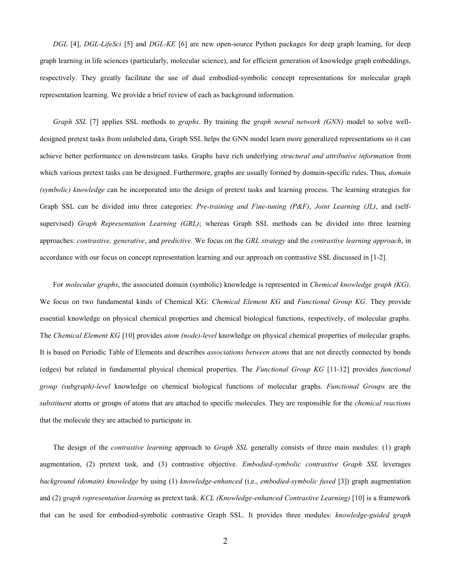DGL [4], DGL-LifeSci [5] and DGL-KE [6] are new open-source Python packages for deep graph learning, for deep graph learning in life sciences (particularly, molecular science), and for efficient generation of knowledge graph embeddings, respectively. They greatly facilitate the use of dual embodied-symbolic concept representations for molecular graph representation learning. We provide a brief review of each as background information.

Graph SSL [7] applies SSL methods to graphs. By training the graph neural network (GNN) model to solve welldesigned pretext tasks from unlabeled data, Graph SSL helps the GNN model learn more generalized representations so it can achieve better performance on downstream tasks. Graphs have rich underlying *structural and attributive information* from which various pretext tasks can be designed. Furthermore, graphs are usually formed by domain-specific rules. Thus, *domain* (symbolic) knowledge can be incorporated into the design of pretext tasks and learning process. The learning strategies for Graph SSL can be divided into three categories: Pre-training and Fine-tuning (P&F), Joint Learning (JL), and (selfsupervised) Graph Representation Learning (GRL); whereas Graph SSL methods can be divided into three learning approaches: *contrastive, generative*, and *predictive*. We focus on the GRL strategy and the *contrastive learning approach*, in accordance with our focus on concept representation learning and our approach on contrastive SSL discussed in [1-2].

For molecular graphs, the associated domain (symbolic) knowledge is represented in *Chemical knowledge graph (KG)*. We focus on two fundamental kinds of Chemical KG: Chemical Element KG and Functional Group KG. They provide essential knowledge on physical chemical properties and chemical biological functions, respectively, of molecular graphs. The Chemical Element KG [10] provides atom (node)-level knowledge on physical chemical properties of molecular graphs. It is based on Periodic Table of Elements and describes *associations between atoms* that are not directly connected by bonds (edges) but related in fundamental physical chemical properties. The Functional Group KG [11-12] provides functional group (subgraph)-level knowledge on chemical biological functions of molecular graphs. Functional Groups are the substituent atoms or groups of atoms that are attached to specific molecules. They are responsible for the *chemical reactions* that the molecule they are attached to participate in.

The design of the contrastive learning approach to Graph SSL generally consists of three main modules: (1) graph augmentation, (2) pretext task, and (3) contrastive objective. Embodied-symbolic contrastive Graph SSL leverages background (domain) knowledge by using (1) knowledge-enhanced (i.e., embodied-symbolic fused [3]) graph augmentation and (2) graph representation learning as pretext task. KCL (Knowledge-enhanced Contrastive Learning) [10] is a framework that can be used for embodied-symbolic contrastive Graph SSL. It provides three modules: knowledge-guided graph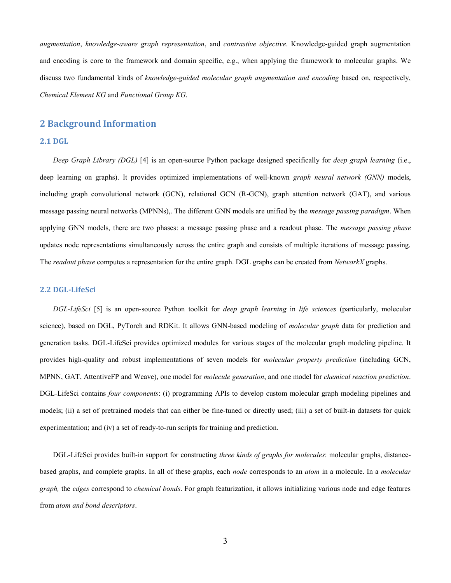augmentation, knowledge-aware graph representation, and contrastive objective. Knowledge-guided graph augmentation and encoding is core to the framework and domain specific, e.g., when applying the framework to molecular graphs. We discuss two fundamental kinds of knowledge-guided molecular graph augmentation and encoding based on, respectively, Chemical Element KG and Functional Group KG.

### 2 Background Information

#### 2.1 DGL

Deep Graph Library (DGL) [4] is an open-source Python package designed specifically for deep graph learning (i.e., deep learning on graphs). It provides optimized implementations of well-known graph neural network (GNN) models, including graph convolutional network (GCN), relational GCN (R-GCN), graph attention network (GAT), and various message passing neural networks (MPNNs),. The different GNN models are unified by the *message passing paradigm*. When applying GNN models, there are two phases: a message passing phase and a readout phase. The *message passing phase* updates node representations simultaneously across the entire graph and consists of multiple iterations of message passing. The *readout phase* computes a representation for the entire graph. DGL graphs can be created from *NetworkX* graphs.

#### 2.2 DGL-LifeSci

DGL-LifeSci [5] is an open-source Python toolkit for *deep graph learning* in *life sciences* (particularly, molecular science), based on DGL, PyTorch and RDKit. It allows GNN-based modeling of *molecular graph* data for prediction and generation tasks. DGL-LifeSci provides optimized modules for various stages of the molecular graph modeling pipeline. It provides high-quality and robust implementations of seven models for molecular property prediction (including GCN, MPNN, GAT, AttentiveFP and Weave), one model for *molecule generation*, and one model for *chemical reaction prediction*. DGL-LifeSci contains *four components*: (i) programming APIs to develop custom molecular graph modeling pipelines and models; (ii) a set of pretrained models that can either be fine-tuned or directly used; (iii) a set of built-in datasets for quick experimentation; and (iv) a set of ready-to-run scripts for training and prediction.

DGL-LifeSci provides built-in support for constructing *three kinds of graphs for molecules*: molecular graphs, distancebased graphs, and complete graphs. In all of these graphs, each node corresponds to an atom in a molecule. In a molecular graph, the edges correspond to *chemical bonds*. For graph featurization, it allows initializing various node and edge features from atom and bond descriptors.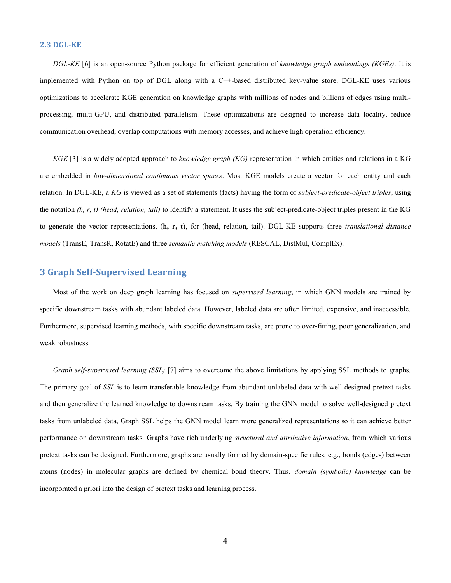#### 2.3 DGL-KE

DGL-KE [6] is an open-source Python package for efficient generation of knowledge graph embeddings (KGEs). It is implemented with Python on top of DGL along with a C++-based distributed key-value store. DGL-KE uses various optimizations to accelerate KGE generation on knowledge graphs with millions of nodes and billions of edges using multiprocessing, multi-GPU, and distributed parallelism. These optimizations are designed to increase data locality, reduce communication overhead, overlap computations with memory accesses, and achieve high operation efficiency.

KGE [3] is a widely adopted approach to knowledge graph  $(KG)$  representation in which entities and relations in a KG are embedded in low-dimensional continuous vector spaces. Most KGE models create a vector for each entity and each relation. In DGL-KE, a KG is viewed as a set of statements (facts) having the form of subject-predicate-object triples, using the notation  $(h, r, t)$  (head, relation, tail) to identify a statement. It uses the subject-predicate-object triples present in the KG to generate the vector representations, (h, r, t), for (head, relation, tail). DGL-KE supports three translational distance models (TransE, TransR, RotatE) and three semantic matching models (RESCAL, DistMul, ComplEx).

# 3 Graph Self-Supervised Learning

Most of the work on deep graph learning has focused on supervised learning, in which GNN models are trained by specific downstream tasks with abundant labeled data. However, labeled data are often limited, expensive, and inaccessible. Furthermore, supervised learning methods, with specific downstream tasks, are prone to over-fitting, poor generalization, and weak robustness.

Graph self-supervised learning (SSL) [7] aims to overcome the above limitations by applying SSL methods to graphs. The primary goal of SSL is to learn transferable knowledge from abundant unlabeled data with well-designed pretext tasks and then generalize the learned knowledge to downstream tasks. By training the GNN model to solve well-designed pretext tasks from unlabeled data, Graph SSL helps the GNN model learn more generalized representations so it can achieve better performance on downstream tasks. Graphs have rich underlying structural and attributive information, from which various pretext tasks can be designed. Furthermore, graphs are usually formed by domain-specific rules, e.g., bonds (edges) between atoms (nodes) in molecular graphs are defined by chemical bond theory. Thus, domain (symbolic) knowledge can be incorporated a priori into the design of pretext tasks and learning process.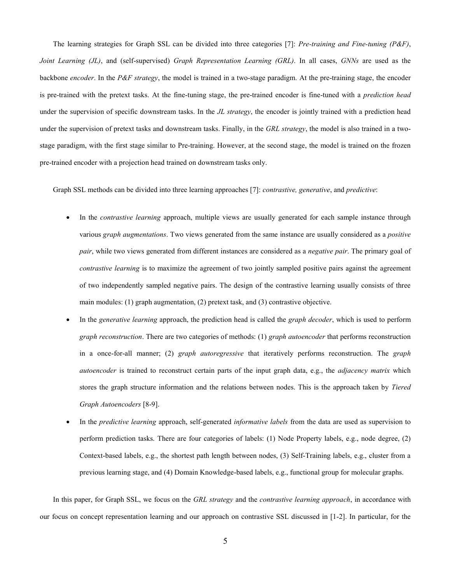The learning strategies for Graph SSL can be divided into three categories [7]: Pre-training and Fine-tuning (P&F), Joint Learning (JL), and (self-supervised) Graph Representation Learning (GRL). In all cases, GNNs are used as the backbone encoder. In the P&F strategy, the model is trained in a two-stage paradigm. At the pre-training stage, the encoder is pre-trained with the pretext tasks. At the fine-tuning stage, the pre-trained encoder is fine-tuned with a prediction head under the supervision of specific downstream tasks. In the JL strategy, the encoder is jointly trained with a prediction head under the supervision of pretext tasks and downstream tasks. Finally, in the GRL strategy, the model is also trained in a twostage paradigm, with the first stage similar to Pre-training. However, at the second stage, the model is trained on the frozen pre-trained encoder with a projection head trained on downstream tasks only.

Graph SSL methods can be divided into three learning approaches [7]: *contrastive, generative*, and *predictive*:

- In the *contrastive learning* approach, multiple views are usually generated for each sample instance through various graph augmentations. Two views generated from the same instance are usually considered as a positive pair, while two views generated from different instances are considered as a negative pair. The primary goal of contrastive learning is to maximize the agreement of two jointly sampled positive pairs against the agreement of two independently sampled negative pairs. The design of the contrastive learning usually consists of three main modules: (1) graph augmentation, (2) pretext task, and (3) contrastive objective.
- In the *generative learning* approach, the prediction head is called the *graph decoder*, which is used to perform graph reconstruction. There are two categories of methods: (1) graph autoencoder that performs reconstruction in a once-for-all manner; (2) graph autoregressive that iteratively performs reconstruction. The graph autoencoder is trained to reconstruct certain parts of the input graph data, e.g., the *adjacency matrix* which stores the graph structure information and the relations between nodes. This is the approach taken by Tiered Graph Autoencoders [8-9].
- In the predictive learning approach, self-generated informative labels from the data are used as supervision to perform prediction tasks. There are four categories of labels: (1) Node Property labels, e.g., node degree, (2) Context-based labels, e.g., the shortest path length between nodes, (3) Self-Training labels, e.g., cluster from a previous learning stage, and (4) Domain Knowledge-based labels, e.g., functional group for molecular graphs.

In this paper, for Graph SSL, we focus on the GRL strategy and the contrastive learning approach, in accordance with our focus on concept representation learning and our approach on contrastive SSL discussed in [1-2]. In particular, for the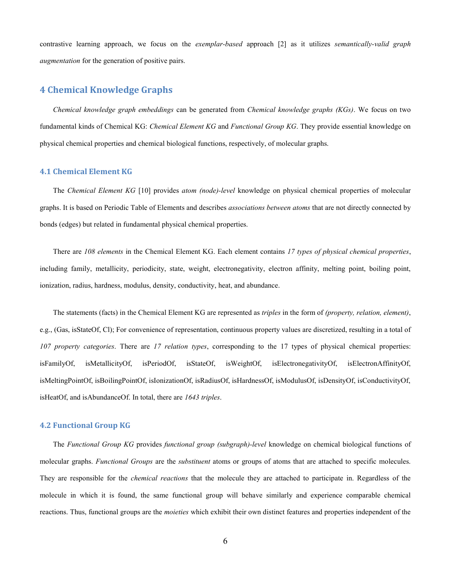contrastive learning approach, we focus on the exemplar-based approach [2] as it utilizes semantically-valid graph augmentation for the generation of positive pairs.

## 4 Chemical Knowledge Graphs

Chemical knowledge graph embeddings can be generated from Chemical knowledge graphs (KGs). We focus on two fundamental kinds of Chemical KG: Chemical Element KG and Functional Group KG. They provide essential knowledge on physical chemical properties and chemical biological functions, respectively, of molecular graphs.

#### 4.1 Chemical Element KG

The Chemical Element KG [10] provides atom (node)-level knowledge on physical chemical properties of molecular graphs. It is based on Periodic Table of Elements and describes associations between atoms that are not directly connected by bonds (edges) but related in fundamental physical chemical properties.

There are 108 elements in the Chemical Element KG. Each element contains 17 types of physical chemical properties, including family, metallicity, periodicity, state, weight, electronegativity, electron affinity, melting point, boiling point, ionization, radius, hardness, modulus, density, conductivity, heat, and abundance.

The statements (facts) in the Chemical Element KG are represented as *triples* in the form of *(property, relation, element)*, e.g., (Gas, isStateOf, Cl); For convenience of representation, continuous property values are discretized, resulting in a total of 107 property categories. There are 17 relation types, corresponding to the 17 types of physical chemical properties: isFamilyOf, isMetallicityOf, isPeriodOf, isStateOf, isWeightOf, isElectronegativityOf, isElectronAffinityOf, isMeltingPointOf, isBoilingPointOf, isIonizationOf, isRadiusOf, isHardnessOf, isModulusOf, isDensityOf, isConductivityOf, isHeatOf, and isAbundanceOf. In total, there are 1643 triples.

#### 4.2 Functional Group KG

The Functional Group KG provides functional group (subgraph)-level knowledge on chemical biological functions of molecular graphs. Functional Groups are the substituent atoms or groups of atoms that are attached to specific molecules. They are responsible for the chemical reactions that the molecule they are attached to participate in. Regardless of the molecule in which it is found, the same functional group will behave similarly and experience comparable chemical reactions. Thus, functional groups are the moieties which exhibit their own distinct features and properties independent of the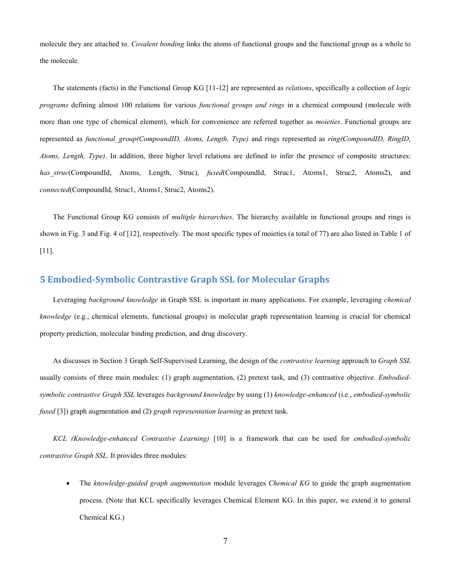molecule they are attached to. Covalent bonding links the atoms of functional groups and the functional group as a whole to the molecule.

The statements (facts) in the Functional Group KG [11-12] are represented as *relations*, specifically a collection of *logic* programs defining almost 100 relations for various *functional groups and rings* in a chemical compound (molecule with more than one type of chemical element), which for convenience are referred together as *moieties*. Functional groups are represented as functional group(CompoundID, Atoms, Length, Type) and rings represented as ring(CompoundID, RingID, Atoms, Length, Type). In addition, three higher level relations are defined to infer the presence of composite structures: has struc(CompoundId, Atoms, Length, Struc), fused(CompoundId, Struc1, Atoms1, Struc2, Atoms2), and connected(CompoundId, Struc1, Atoms1, Struc2, Atoms2).

The Functional Group KG consists of *multiple hierarchies*. The hierarchy available in functional groups and rings is shown in Fig. 3 and Fig. 4 of [12], respectively. The most specific types of moieties (a total of 77) are also listed in Table 1 of [11].

# 5 Embodied-Symbolic Contrastive Graph SSL for Molecular Graphs

Leveraging background knowledge in Graph SSL is important in many applications. For example, leveraging chemical knowledge (e.g., chemical elements, functional groups) in molecular graph representation learning is crucial for chemical property prediction, molecular binding prediction, and drug discovery.

As discusses in Section 3 Graph Self-Supervised Learning, the design of the *contrastive learning* approach to Graph SSL usually consists of three main modules: (1) graph augmentation, (2) pretext task, and (3) contrastive objective. Embodiedsymbolic contrastive Graph SSL leverages background knowledge by using (1) knowledge-enhanced (i.e., embodied-symbolic fused [3]) graph augmentation and (2) graph representation learning as pretext task.

KCL (Knowledge-enhanced Contrastive Learning) [10] is a framework that can be used for embodied-symbolic contrastive Graph SSL. It provides three modules:

The knowledge-guided graph augmentation module leverages Chemical KG to guide the graph augmentation process. (Note that KCL specifically leverages Chemical Element KG. In this paper, we extend it to general Chemical KG.)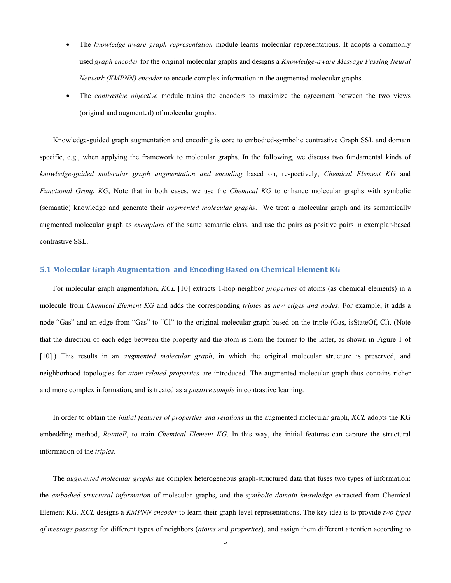- The knowledge-aware graph representation module learns molecular representations. It adopts a commonly used graph encoder for the original molecular graphs and designs a Knowledge-aware Message Passing Neural Network (KMPNN) encoder to encode complex information in the augmented molecular graphs.
- The contrastive objective module trains the encoders to maximize the agreement between the two views (original and augmented) of molecular graphs.

Knowledge-guided graph augmentation and encoding is core to embodied-symbolic contrastive Graph SSL and domain specific, e.g., when applying the framework to molecular graphs. In the following, we discuss two fundamental kinds of knowledge-guided molecular graph augmentation and encoding based on, respectively, Chemical Element KG and Functional Group KG, Note that in both cases, we use the Chemical KG to enhance molecular graphs with symbolic (semantic) knowledge and generate their *augmented molecular graphs*. We treat a molecular graph and its semantically augmented molecular graph as *exemplars* of the same semantic class, and use the pairs as positive pairs in exemplar-based contrastive SSL.

#### 5.1 Molecular Graph Augmentation and Encoding Based on Chemical Element KG

For molecular graph augmentation, KCL [10] extracts 1-hop neighbor *properties* of atoms (as chemical elements) in a molecule from *Chemical Element KG* and adds the corresponding *triples* as *new edges and nodes*. For example, it adds a node "Gas" and an edge from "Gas" to "Cl" to the original molecular graph based on the triple (Gas, isStateOf, Cl). (Note that the direction of each edge between the property and the atom is from the former to the latter, as shown in Figure 1 of [10].) This results in an *augmented molecular graph*, in which the original molecular structure is preserved, and neighborhood topologies for *atom-related properties* are introduced. The augmented molecular graph thus contains richer and more complex information, and is treated as a *positive sample* in contrastive learning.

In order to obtain the *initial features of properties and relations* in the augmented molecular graph, KCL adopts the KG embedding method, RotateE, to train Chemical Element KG. In this way, the initial features can capture the structural information of the triples.

The *augmented molecular graphs* are complex heterogeneous graph-structured data that fuses two types of information: the embodied structural information of molecular graphs, and the symbolic domain knowledge extracted from Chemical Element KG. KCL designs a KMPNN encoder to learn their graph-level representations. The key idea is to provide two types of message passing for different types of neighbors (atoms and properties), and assign them different attention according to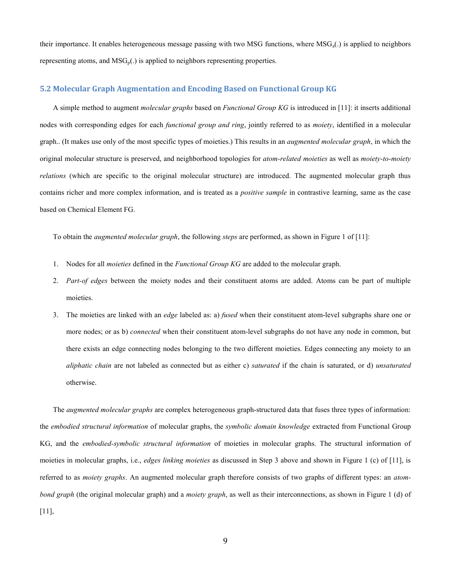their importance. It enables heterogeneous message passing with two MSG functions, where  $MSG_a(.)$  is applied to neighbors representing atoms, and  $MSG_p(.)$  is applied to neighbors representing properties.

#### 5.2 Molecular Graph Augmentation and Encoding Based on Functional Group KG

A simple method to augment *molecular graphs* based on *Functional Group KG* is introduced in [11]: it inserts additional nodes with corresponding edges for each *functional group and ring*, jointly referred to as *moiety*, identified in a molecular graph.. (It makes use only of the most specific types of moieties.) This results in an *augmented molecular graph*, in which the original molecular structure is preserved, and neighborhood topologies for atom-related moieties as well as moiety-to-moiety relations (which are specific to the original molecular structure) are introduced. The augmented molecular graph thus contains richer and more complex information, and is treated as a positive sample in contrastive learning, same as the case based on Chemical Element FG.

To obtain the augmented molecular graph, the following steps are performed, as shown in Figure 1 of [11]:

- 1. Nodes for all *moieties* defined in the *Functional Group KG* are added to the molecular graph.
- 2. Part-of edges between the moiety nodes and their constituent atoms are added. Atoms can be part of multiple moieties.
- 3. The moieties are linked with an edge labeled as: a) fused when their constituent atom-level subgraphs share one or more nodes; or as b) *connected* when their constituent atom-level subgraphs do not have any node in common, but there exists an edge connecting nodes belonging to the two different moieties. Edges connecting any moiety to an aliphatic chain are not labeled as connected but as either c) *saturated* if the chain is saturated, or d) *unsaturated* otherwise.

The *augmented molecular graphs* are complex heterogeneous graph-structured data that fuses three types of information: the embodied structural information of molecular graphs, the symbolic domain knowledge extracted from Functional Group KG, and the *embodied-symbolic structural information* of moieties in molecular graphs. The structural information of moieties in molecular graphs, i.e., *edges linking moieties* as discussed in Step 3 above and shown in Figure 1 (c) of [11], is referred to as *moiety graphs*. An augmented molecular graph therefore consists of two graphs of different types: an *atom*bond graph (the original molecular graph) and a *moiety graph*, as well as their interconnections, as shown in Figure 1 (d) of [11],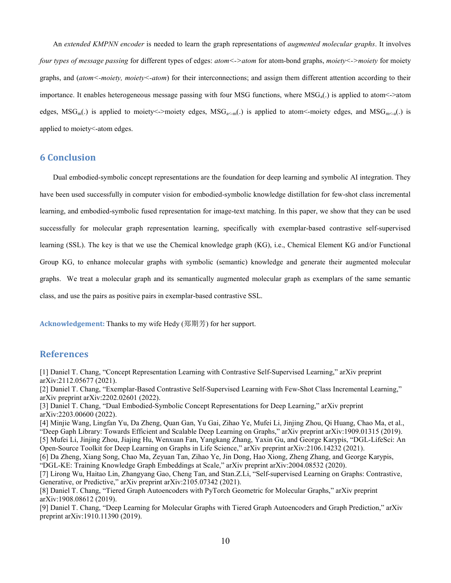An extended KMPNN encoder is needed to learn the graph representations of augmented molecular graphs. It involves four types of message passing for different types of edges: atom<->atom for atom-bond graphs, moiety<->moiety for moiety graphs, and (atom<-moiety, moiety<-atom) for their interconnections; and assign them different attention according to their importance. It enables heterogeneous message passing with four MSG functions, where  $MSG<sub>a</sub>(.)$  is applied to atom  $\leq$ ->atom edges,  $MSG_m(.)$  is applied to moiety <->moiety edges,  $MSG_{m}(.)$  is applied to atom <-moiety edges, and  $MSG_{m}<sub>a</sub>(.)$  is applied to moiety<-atom edges.

# 6 Conclusion

Dual embodied-symbolic concept representations are the foundation for deep learning and symbolic AI integration. They have been used successfully in computer vision for embodied-symbolic knowledge distillation for few-shot class incremental learning, and embodied-symbolic fused representation for image-text matching. In this paper, we show that they can be used successfully for molecular graph representation learning, specifically with exemplar-based contrastive self-supervised learning (SSL). The key is that we use the Chemical knowledge graph (KG), i.e., Chemical Element KG and/or Functional Group KG, to enhance molecular graphs with symbolic (semantic) knowledge and generate their augmented molecular graphs. We treat a molecular graph and its semantically augmented molecular graph as exemplars of the same semantic class, and use the pairs as positive pairs in exemplar-based contrastive SSL.

Acknowledgement: Thanks to my wife Hedy (郑期芳) for her support.

### References

[1] Daniel T. Chang, "Concept Representation Learning with Contrastive Self-Supervised Learning," arXiv preprint arXiv:2112.05677 (2021).

[2] Daniel T. Chang, "Exemplar-Based Contrastive Self-Supervised Learning with Few-Shot Class Incremental Learning," arXiv preprint arXiv:2202.02601 (2022).

[3] Daniel T. Chang, "Dual Embodied-Symbolic Concept Representations for Deep Learning," arXiv preprint arXiv:2203.00600 (2022).

[4] Minjie Wang, Lingfan Yu, Da Zheng, Quan Gan, Yu Gai, Zihao Ye, Mufei Li, Jinjing Zhou, Qi Huang, Chao Ma, et al., "Deep Gaph Library: Towards Efficient and Scalable Deep Learning on Graphs," arXiv preprint arXiv:1909.01315 (2019). [5] Mufei Li, Jinjing Zhou, Jiajing Hu, Wenxuan Fan, Yangkang Zhang, Yaxin Gu, and George Karypis, "DGL-LifeSci: An Open-Source Toolkit for Deep Learning on Graphs in Life Science," arXiv preprint arXiv:2106.14232 (2021).

[6] Da Zheng, Xiang Song, Chao Ma, Zeyuan Tan, Zihao Ye, Jin Dong, Hao Xiong, Zheng Zhang, and George Karypis, "DGL-KE: Training Knowledge Graph Embeddings at Scale," arXiv preprint arXiv:2004.08532 (2020).

[7] Lirong Wu, Haitao Lin, Zhangyang Gao, Cheng Tan, and Stan.Z.Li, "Self-supervised Learning on Graphs: Contrastive, Generative, or Predictive," arXiv preprint arXiv:2105.07342 (2021).

[8] Daniel T. Chang, "Tiered Graph Autoencoders with PyTorch Geometric for Molecular Graphs," arXiv preprint arXiv:1908.08612 (2019).

[9] Daniel T. Chang, "Deep Learning for Molecular Graphs with Tiered Graph Autoencoders and Graph Prediction," arXiv preprint arXiv:1910.11390 (2019).